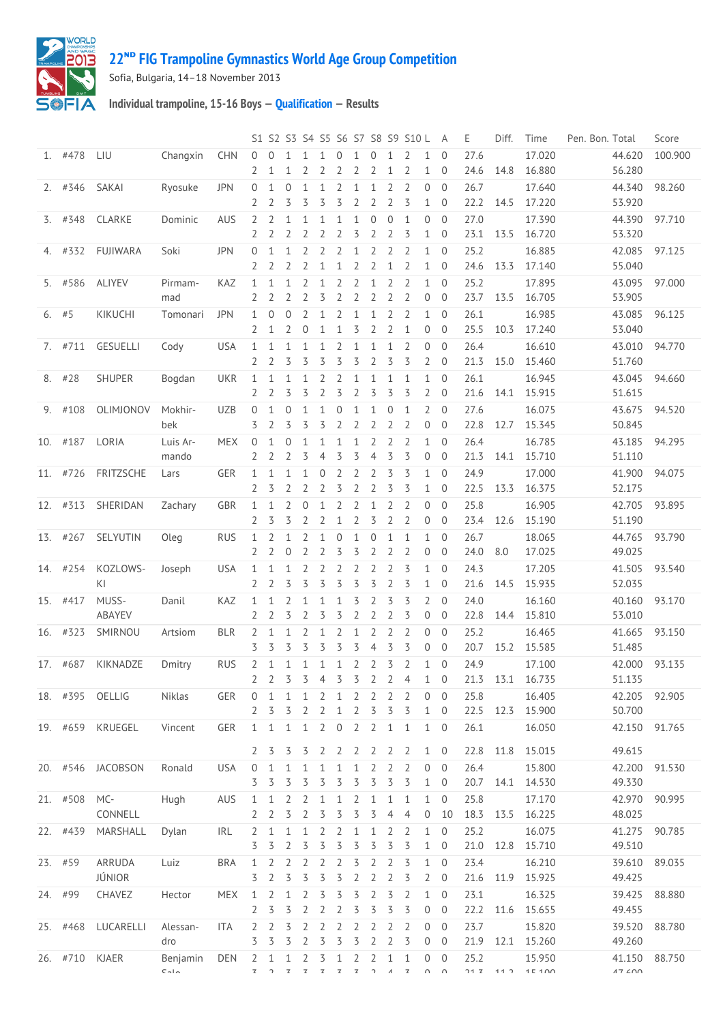

## **ᴺᴰ [FIG Trampoline Gymnastics World Age Group Competition](http://192.168.1.7:9001/event)**

Sofia, Bulgaria, 14–18 November 2013

**Individual trampoline, 15-16 Boys — [Qualification](http://192.168.1.7:9001/stage/18) — Results**

|         |           |                   |                       |            |                                  |                    |                                |                     |                     |                                |                                |                     |                                  | S1 S2 S3 S4 S5 S6 S7 S8 S9 S10 L |                                | A                                | Ε            | Diff.       | Time                       | Pen. Bon. Total |                                       | Score   |
|---------|-----------|-------------------|-----------------------|------------|----------------------------------|--------------------|--------------------------------|---------------------|---------------------|--------------------------------|--------------------------------|---------------------|----------------------------------|----------------------------------|--------------------------------|----------------------------------|--------------|-------------|----------------------------|-----------------|---------------------------------------|---------|
|         | 1. #478   | LIU               | Changxin              | <b>CHN</b> | $\Omega$<br>2                    | 0<br>1             | $\mathbf{1}$<br>1              | 1<br>2              |                     | $\Omega$<br>2                  | 1<br>2                         | $\Omega$<br>2       | 1<br>1                           | 2<br>2                           | $\mathbf{1}$<br>1              | $\Omega$<br>$\overline{0}$       | 27.6<br>24.6 | 14.8        | 17.020<br>16.880           |                 | 44.620<br>56.280                      | 100.900 |
|         | $2.$ #346 | <b>SAKAI</b>      | Ryosuke               | <b>JPN</b> | 0<br>2                           | 1<br>2             | $\theta$<br>3                  | $\mathbf{1}$<br>3   | 1<br>3              | 2<br>3                         | $\mathbf{1}$<br>$\overline{2}$ | 1<br>$\overline{2}$ | $\overline{2}$<br>$\overline{2}$ | $\overline{2}$<br>3              | 0<br>$\mathbf{1}$              | $\Omega$<br>$\overline{0}$       | 26.7<br>22.2 | 14.5        | 17.640<br>17.220           |                 | 44.340<br>53.920                      | 98.260  |
|         | $3.$ #348 | CLARKE            | Dominic               | <b>AUS</b> | 2<br>2                           | 2<br>2             | 1<br>2                         | 1<br>2              | 1<br>2              | 1<br>$\overline{2}$            | $\mathbf 1$<br>3               | $\mathbf 0$<br>2    | $\mathbf{0}$<br>$\overline{2}$   | $\mathbf{1}$<br>3                | $\overline{0}$<br>$\mathbf{1}$ | $\Omega$<br>$\overline{0}$       | 27.0<br>23.1 | 13.5        | 17.390<br>16.720           |                 | 44.390<br>53.320                      | 97.710  |
|         | 4. #332   | FUJIWARA          | Soki                  | <b>JPN</b> | 0                                | 1                  | 1                              | 2                   | 2                   | 2<br>1                         | $\mathbf{1}$<br>2              | 2<br>2              | 2<br>1                           | 2<br>2                           | 1<br>1                         | $\overline{0}$<br>$\overline{0}$ | 25.2         | 13.3        | 16.885                     |                 | 42.085                                | 97.125  |
|         | 5. #586   | <b>ALIYEV</b>     | Pirmam-               | KAZ        | 2<br>$\mathbf{1}$                | 2<br>$\mathbf{1}$  | 2<br>$\mathbf{1}$              | 2<br>2              | 1<br>1              | 2                              | 2                              | 1                   | $\overline{2}$                   | 2                                | 1                              | $\overline{0}$                   | 24.6<br>25.2 |             | 17.140<br>17.895           |                 | 55.040<br>43.095                      | 97.000  |
|         | $6.$ #5   | KIKUCHI           | mad<br>Tomonari       | <b>JPN</b> | 2<br>1                           | 2<br>$\mathbf{0}$  | 2<br>$\overline{0}$            | 2<br>2              | 3<br>$\mathbf{1}$   | 2<br>2                         | $\overline{2}$<br>$\mathbf{1}$ | 2<br>1              | 2<br>$\overline{2}$              | 2<br>2                           | 0<br>$\mathbf{1}$              | $\overline{0}$<br>$\overline{0}$ | 23.7<br>26.1 | 13.5        | 16.705<br>16.985           |                 | 53.905<br>43.085                      | 96.125  |
|         | 7. #711   | GESUELLI          | Cody                  | <b>USA</b> | 2<br>1                           | 1<br>1             | 2<br>1                         | 0<br>1              | 1<br>1              | $\mathbf{1}$<br>2              | 3<br>$\mathbf{1}$              | $\overline{2}$<br>1 | $\overline{2}$<br>$\mathbf{1}$   | $\mathbf{1}$<br>2                | 0<br>$\overline{0}$            | $\overline{0}$<br>$\Omega$       | 25.5<br>26.4 | 10.3        | 17.240<br>16.610           |                 | 53.040<br>43.010                      | 94.770  |
|         | 8. #28    | SHUPER            | Bogdan                | <b>UKR</b> | 2<br>1                           | 2<br>1             | 3<br>1                         | 3<br>1              | 3<br>2              | 3<br>2                         | 3<br>1                         | 2<br>1              | 3<br>1                           | 3<br>$\mathbf{1}$                | 2<br>1                         | $\overline{0}$<br>$\overline{0}$ | 21.3<br>26.1 | 15.0        | 15.460<br>16.945           |                 | 51.760<br>43.045                      | 94.660  |
| 9.      | #108      | OLIMJONOV         | Mokhir-               | <b>UZB</b> | 2<br>$\mathbf 0$                 | 2<br>1             | 3<br>$\theta$                  | 3<br>1              | 2<br>1              | 3<br>$\overline{0}$            | 2<br>$\mathbf{1}$              | 3<br>1              | 3<br>$\theta$                    | 3<br>$\mathbf{1}$                | $\overline{2}$<br>2            | $\overline{0}$<br>$\overline{0}$ | 21.6<br>27.6 | 14.1        | 15.915<br>16.075           |                 | 51.615<br>43.675                      | 94.520  |
|         | 10. #187  | LORIA             | bek<br>Luis Ar-       | <b>MEX</b> | 3<br>$\overline{0}$              | 2<br>1             | 3<br>$\theta$                  | 3<br>$\mathbf{1}$   | 3<br>1              | $\overline{2}$<br>$\mathbf{1}$ | 2<br>$\mathbf{1}$              | 2<br>2              | $\overline{2}$<br>2              | 2<br>2                           | 0<br>$\mathbf{1}$              | $\overline{0}$<br>$\overline{0}$ | 22.8<br>26.4 | 12.7        | 15.345<br>16.785           |                 | 50.845<br>43.185                      | 94.295  |
|         |           |                   | mando                 |            | 2                                | 2                  | $\overline{2}$                 | 3                   | 4                   | 3                              | 3                              | $\overline{4}$      | 3                                | 3                                | 0                              | $\overline{0}$                   | 21.3         | 14.1        | 15.710                     |                 | 51.110                                |         |
|         | 11. #726  | FRITZSCHE         | Lars                  | GER        | 1<br>2                           | 1<br>3             | 1<br>2                         | 1<br>2              | 0<br>2              | $\overline{2}$<br>3            | 2<br>2                         | 2<br>2              | 3<br>3                           | 3<br>3                           | $\mathbf{1}$<br>1              | $\overline{0}$<br>$\overline{0}$ | 24.9<br>22.5 | 13.3        | 17.000<br>16.375           |                 | 41.900<br>52.175                      | 94.075  |
|         | 12. #313  | SHERIDAN          | Zachary               | GBR        | 1<br>2                           | 1<br>3             | 2<br>3                         | 0<br>2              | $\mathbf{1}$<br>2   | 2<br>$\mathbf{1}$              | 2<br>$\overline{2}$            | 1<br>3              | 2<br>$\overline{2}$              | 2<br>2                           | 0<br>0                         | $\overline{0}$<br>$\overline{0}$ | 25.8<br>23.4 | 12.6        | 16.905<br>15.190           |                 | 42.705<br>51.190                      | 93.895  |
|         | 13. #267  | SELYUTIN          | Oleg                  | <b>RUS</b> | 1<br>2                           | 2<br>2             | $\mathbf{1}$<br>$\overline{0}$ | 2<br>2              | 1<br>2              | $\theta$<br>3                  | $\mathbf{1}$<br>3              | $\mathbf 0$<br>2    | $\mathbf{1}$<br>$\overline{2}$   | $\mathbf{1}$<br>$\overline{2}$   | $\mathbf{1}$<br>0              | $\overline{0}$<br>$\overline{0}$ | 26.7<br>24.0 | 8.0         | 18.065<br>17.025           |                 | 44.765<br>49.025                      | 93.790  |
|         | 14. #254  | KOZLOWS-<br>KI    | Joseph                | <b>USA</b> | 1<br>2                           | 1<br>2             | 1<br>3                         | 2<br>3              | 2<br>3              | 2<br>3                         | 2<br>3                         | 2<br>3              | 2<br>$\overline{2}$              | 3<br>3                           | $\mathbf{1}$<br>$\mathbf{1}$   | $\overline{0}$<br>$\overline{0}$ | 24.3<br>21.6 | 14.5        | 17.205<br>15.935           |                 | 41.505<br>52.035                      | 93.540  |
|         | 15. #417  | MUSS-<br>ABAYEV   | Danil                 | KAZ        | 1<br>2                           | 1<br>2             | 2<br>3                         | 1<br>2              | 1<br>3              | $\mathbf{1}$<br>3              | 3<br>$\overline{2}$            | 2<br>2              | 3<br>2                           | 3<br>3                           | $\overline{2}$<br>0            | $\overline{0}$<br>$\overline{0}$ | 24.0<br>22.8 | 14.4        | 16.160<br>15.810           |                 | 40.160<br>53.010                      | 93.170  |
|         | 16. #323  | SMIRNOU           | Artsiom               | <b>BLR</b> | 2<br>3                           | 1<br>3             | $\mathbf{1}$<br>3              | 2<br>3              | 1<br>3              | 2<br>3                         | $\mathbf{1}$<br>3              | 2<br>4              | 2<br>3                           | 2<br>3                           | 0<br>0                         | $\overline{0}$<br>$\overline{0}$ | 25.2<br>20.7 | 15.2        | 16.465<br>15.585           |                 | 41.665<br>51.485                      | 93.150  |
|         | 17. #687  | KIKNADZE          | Dmitry                | <b>RUS</b> | 2<br>2                           | $\mathbf{1}$       | $\mathbf{1}$                   | $\mathbf{1}$        | $\mathbf{1}$        | $\mathbf{1}$                   | $\overline{2}$                 | $\overline{2}$      | 3<br>2 3 3 4 3 3 2 2 4           | $\overline{2}$                   | $\mathbf{1}$<br>$1 \quad 0$    | $\overline{0}$                   | 24.9         |             | 17.100<br>21.3 13.1 16.735 |                 | 42.000<br>51.135                      | 93.135  |
|         |           | 18. #395 OELLIG   | Niklas                | GER        | 0                                | 1                  | 1                              | 1                   | 2                   | 1                              | 2                              | 2                   | 2                                | 2                                | 0                              | $\overline{0}$                   | 25.8         |             | 16.405                     |                 | 42.205                                | 92.905  |
|         |           | 19. #659 KRUEGEL  | Vincent               | <b>GER</b> | 2<br>1                           | 3<br>1             | 3<br>$\mathbf{1}$              | 2<br>$\mathbf{1}$   | 2<br>$\overline{2}$ | 1<br>$\overline{0}$            | 2<br>$\overline{2}$            | 3<br>$\overline{2}$ | 3<br>$\mathbf{1}$                | 3<br>1                           | $\mathbf{1}$<br>$1 \quad 0$    | $\overline{0}$                   | 22.5<br>26.1 | 12.3        | 15.900<br>16.050           |                 | 50.700<br>42.150                      | 91.765  |
|         |           | 20. #546 JACOBSON | Ronald                | <b>USA</b> | 2 <sub>5</sub><br>$\overline{0}$ | 1                  | 3<br>1                         | 3<br>1              | 1                   | 2 2 2 2<br>1                   | 1                              | 2                   | 2 <sub>2</sub><br>2              | 2                                | $1 \quad 0$<br>$\overline{0}$  | $\overline{0}$                   | 22.8<br>26.4 | 11.8        | 15.015<br>15.800           |                 | 49.615<br>42.200                      | 91.530  |
|         | 21. #508  |                   |                       | AUS        | 3                                | 3                  | 3                              | 3                   | 3                   | 3                              | 3                              | 3                   | 3                                | 3<br>1                           | $\mathbf{1}$<br>$\mathbf{1}$   | $\overline{0}$<br>$\overline{0}$ | 20.7         | 14.1        | 14.530                     |                 | 49.330                                |         |
|         |           | MC-<br>CONNELL    | Hugh                  |            | 1<br>2                           | 1<br>2             | 2<br>3                         | 2<br>2              | 1<br>3              | $\mathbf{1}$<br>3              | 2<br>3                         | 1<br>3              | $\mathbf{1}$<br>4                | $\overline{4}$                   | 0                              | 10                               | 25.8<br>18.3 | 13.5        | 17.170<br>16.225           |                 | 42.970<br>48.025                      | 90.995  |
|         | 22. #439  | MARSHALL          | Dylan                 | IRL        | 2<br>3                           | 1<br>3             | 1<br>2                         | 1<br>3              | 2<br>3              | 2<br>3                         | $\mathbf{1}$<br>3              | 1<br>3              | 2<br>3                           | 2<br>3                           | $\mathbf{1}$<br>1              | $\mathbf 0$<br>$\overline{0}$    | 25.2<br>21.0 | 12.8        | 16.075<br>15.710           |                 | 41.275<br>49.510                      | 90.785  |
|         | 23. #59   | ARRUDA<br>JÚNIOR  | Luiz                  | <b>BRA</b> | 1<br>3                           | 2<br>2             | 2<br>3                         | 2<br>3              | 2<br>3              | 2<br>3                         | 3<br>2                         | 2<br>2              | 2<br>$\overline{2}$              | 3<br>3                           | $\mathbf{1}$<br>$\overline{2}$ | $\overline{0}$<br>$\overline{0}$ | 23.4<br>21.6 | 11.9        | 16.210<br>15.925           |                 | 39.610<br>49.425                      | 89.035  |
| 24. #99 |           | CHAVEZ            | Hector                | <b>MEX</b> | 1<br>2                           | 2<br>3             | 1<br>3                         | 2<br>2              | 3<br>2              | 3<br>2                         | 3<br>3                         | 2<br>3              | 3<br>3                           | $\overline{2}$<br>3              | 1<br>0                         | $\overline{0}$<br>$\overline{0}$ | 23.1<br>22.2 | 11.6        | 16.325<br>15.655           |                 | 39.425<br>49.455                      | 88.880  |
|         | 25. #468  | LUCARELLI         | Alessan-<br>dro       | ITA        | $\overline{2}$<br>3              | 2<br>3             | 3<br>3                         | 2<br>$\overline{2}$ | 2<br>3              | 2<br>3                         | 2<br>3                         | 2<br>$\overline{2}$ | $\overline{2}$<br>$\overline{2}$ | 2<br>3                           | $\overline{0}$<br>$\mathbf 0$  | $\overline{0}$<br>$\overline{0}$ | 23.7<br>21.9 | 12.1        | 15.820<br>15.260           |                 | 39.520<br>49.260                      | 88.780  |
|         | 26. #710  | KJAER             | Benjamin<br>$C - I -$ | DEN        | 2<br>$\mathbf{z}$                | 1<br>$\mathcal{D}$ | 1<br>$\mathbb Z$               | 2<br>$\mathsf Z$    | 3<br>$\mathsf Z$    | $\mathbf{1}$<br>$\mathsf Z$    | $\overline{2}$<br>$\mathbb Z$  | 2<br>$\gamma$       | 1<br>$\boldsymbol{\varLambda}$   | $\mathbf{1}$<br>$\mathbb Z$      | $\overline{0}$<br>$n \quad n$  | $\overline{0}$                   | 25.2         | $717$ $117$ | 15.950<br>1 E 1 N          |                 | 41.150<br>$17$ $\angle$ $\cap$ $\cap$ | 88.750  |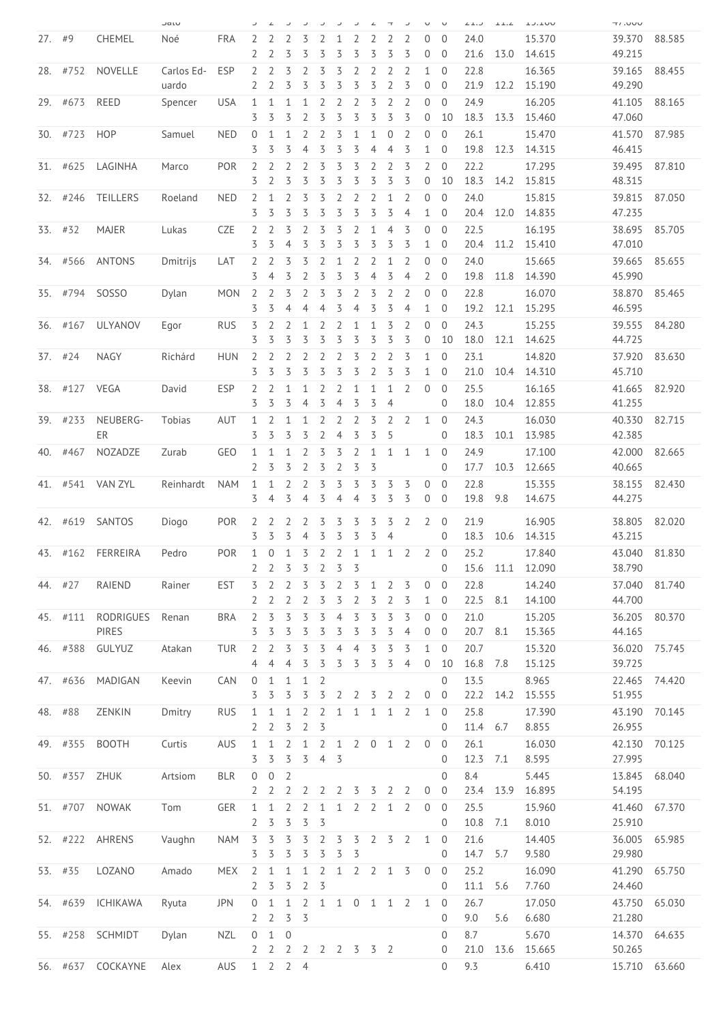|     |           |                   | Jalu                |            | ر                                | $\angle$              | ر                   | ر                   |                     |                     | ر                                | ∠              | $\mathbf \tau$             | ر                   | U                              | $\cup$                           | $L_{\perp}$ . | $+ + +$ | $T$ $J$ $+$ $U$ $U$ | UUU.IT           |        |
|-----|-----------|-------------------|---------------------|------------|----------------------------------|-----------------------|---------------------|---------------------|---------------------|---------------------|----------------------------------|----------------|----------------------------|---------------------|--------------------------------|----------------------------------|---------------|---------|---------------------|------------------|--------|
| 27. | #9        | CHEMEL            | Noé                 | <b>FRA</b> | 2                                |                       | 2                   | 3                   |                     | 1                   | 2                                | 2              | 2                          | 2                   | 0                              | $\Omega$                         | 24.0          |         | 15.370              | 39.370           | 88.585 |
|     |           |                   |                     |            | 2                                | 2                     | 3                   | 3                   | 3                   | 3                   | 3                                | 3              | 3                          | 3                   | 0                              | $\overline{0}$                   | 21.6          | 13.0    | 14.615              | 49.215           |        |
|     | 28. #752  | NOVELLE           | Carlos Ed-<br>uardo | ESP        | 2<br>2                           | 2<br>2                | 3<br>3              | 2<br>3              | 3<br>3              | 3<br>3              | $\overline{2}$<br>3              | 2<br>3         | 2<br>$\overline{2}$        | 2<br>3              | $\mathbf{1}$<br>$\overline{0}$ | $\overline{0}$<br>$\Omega$       | 22.8<br>21.9  | 12.2    | 16.365<br>15.190    | 39.165<br>49.290 | 88.455 |
| 29. | #673      | REED              | Spencer             | USA        | 1<br>3                           | 1<br>3                | 1<br>3              | 1<br>2              | 2<br>3              | 2<br>3              | $\overline{2}$<br>3              | 3<br>3         | 2<br>3                     | 2<br>3              | 0<br>0                         | $\overline{0}$<br>10             | 24.9<br>18.3  | 13.3    | 16.205<br>15.460    | 41.105<br>47.060 | 88.165 |
|     | 30. #723  | <b>HOP</b>        | Samuel              | <b>NED</b> | $\overline{0}$<br>3              | 1<br>3                | 1<br>3              | 2<br>4              | 2<br>3              | 3<br>3              | 1<br>3                           | 1<br>4         | $\theta$<br>$\overline{4}$ | 2<br>3              | $\overline{0}$<br>1            | $\overline{0}$<br>$\mathbf 0$    | 26.1<br>19.8  |         | 15.470              | 41.570           | 87.985 |
|     | #625      | LAGINHA           |                     | <b>POR</b> |                                  | $\overline{2}$        | 2                   |                     | 3                   | 3                   | 3                                | $\overline{2}$ | $\overline{2}$             | 3                   | $\overline{2}$                 | $\overline{0}$                   | 22.2          | 12.3    | 14.315              | 46.415<br>39.495 | 87.810 |
| 31. |           |                   | Marco               |            | 2<br>3                           | 2                     | 3                   | $\overline{2}$<br>3 | 3                   | 3                   | 3                                | 3              | 3                          | 3                   | 0                              | 10                               | 18.3          | 14.2    | 17.295<br>15.815    | 48.315           |        |
|     | 32. #246  | <b>TEILLERS</b>   | Roeland             | <b>NED</b> | 2<br>3                           | 1<br>3                | 2<br>3              | 3<br>3              | 3<br>3              | 2<br>3              | 2<br>3                           | 2<br>3         | 1<br>3                     | 2<br>$\overline{4}$ | $\overline{0}$<br>$\mathbf{1}$ | $\overline{0}$<br>$\overline{0}$ | 24.0<br>20.4  | 12.0    | 15.815<br>14.835    | 39.815<br>47.235 | 87.050 |
|     | 33. #32   | <b>MAJER</b>      | Lukas               | <b>CZE</b> | 2<br>3                           | 2<br>3                | 3<br>4              | 2<br>3              | 3<br>3              | 3<br>3              | 2<br>3                           | 1<br>3         | 4<br>3                     | 3<br>3              | 0<br>1                         | $\overline{0}$<br>$\overline{0}$ | 22.5<br>20.4  | 11.2    | 16.195<br>15.410    | 38.695<br>47.010 | 85.705 |
| 34. | #566      | <b>ANTONS</b>     | Dmitrijs            | LAT        | 2                                | $\overline{2}$        | 3                   | 3                   | 2                   | 1                   | $\overline{2}$                   | $\overline{2}$ | $\mathbf{1}$               | $\overline{2}$      | 0                              | $\overline{0}$                   | 24.0          |         | 15.665              | 39.665           | 85.655 |
|     |           |                   |                     |            | 3                                | 4                     | 3                   | 2                   | 3                   | 3                   | 3                                | 4              | 3                          | 4                   | 2                              | $\overline{0}$                   | 19.8          | 11.8    | 14.390              | 45.990           |        |
| 35. | #794      | SOSS <sub>O</sub> | Dylan               | <b>MON</b> | 2<br>3                           | 2<br>3                | 3<br>4              | 2<br>$\overline{4}$ | 3<br>4              | 3<br>3              | $\overline{2}$<br>$\overline{4}$ | 3<br>3         | 2<br>3                     | 2<br>$\overline{4}$ | $\overline{0}$<br>$\mathbf{1}$ | $\overline{0}$<br>$\mathbf 0$    | 22.8<br>19.2  | 12.1    | 16.070<br>15.295    | 38.870<br>46.595 | 85.465 |
| 36. | #167      | <b>ULYANOV</b>    | Egor                | <b>RUS</b> | 3                                | 2                     | 2                   | 1                   | 2                   | 2                   | 1                                | 1              | 3                          | 2                   | 0                              | $\overline{0}$                   | 24.3          |         | 15.255              | 39.555           | 84.280 |
|     |           |                   |                     |            | 3                                | 3                     | 3                   | 3                   | 3                   | 3                   | 3                                | 3              | 3                          | 3                   | 0                              | 10                               | 18.0          | 12.1    | 14.625              | 44.725           |        |
|     | $37.$ #24 | <b>NAGY</b>       | Richárd             | <b>HUN</b> | 2                                | $\overline{2}$        | 2                   | 2                   | 2                   | 2                   | 3                                | 2              | 2                          | 3                   | 1                              | $\overline{0}$                   | 23.1          |         | 14.820              | 37.920           | 83.630 |
|     |           |                   |                     |            | 3                                | 3                     | 3                   | 3                   | 3                   | 3                   | 3                                | 2              | 3                          | 3                   | 1                              | $\overline{0}$                   | 21.0          | 10.4    | 14.310              | 45.710           |        |
|     | 38. #127  | VEGA              | David               | ESP        | 2<br>3                           | 2<br>3                | 1<br>3              | 1<br>4              | 2<br>3              | 2<br>4              | 1<br>3                           | 1<br>3         | 1<br>$\overline{4}$        | 2                   | $\mathbf{0}$                   | $\overline{0}$<br>$\overline{0}$ | 25.5<br>18.0  | 10.4    | 16.165<br>12.855    | 41.665<br>41.255 | 82.920 |
|     | 39. #233  | NEUBERG-          | Tobias              | AUT        | 1                                | 2                     | 1                   | 1                   | 2                   | 2                   | $\overline{2}$                   | 3              | 2                          | 2                   | $\mathbf{1}$                   | $\overline{0}$                   | 24.3          |         | 16.030              | 40.330           | 82.715 |
|     |           | ER                |                     |            | 3                                | 3                     | 3                   | 3                   | 2                   | 4                   | 3                                | 3              | 5                          |                     |                                | 0                                | 18.3          | 10.1    | 13.985              | 42.385           |        |
| 40. | #467      | NOZADZE           | Zurab               | <b>GEO</b> | 1                                | 1                     | 1                   | 2                   | 3                   | 3                   | $\overline{2}$                   | 1              | 1                          | 1                   | 1                              | $\overline{0}$                   | 24.9          |         | 17.100              | 42.000           | 82.665 |
|     |           |                   |                     |            | 2                                | 3                     | 3                   | 2                   | 3                   | 2                   | 3                                | 3              |                            |                     |                                | $\overline{0}$                   | 17.7          | 10.3    | 12.665              | 40.665           |        |
| 41. | #541      | <b>VAN ZYL</b>    | Reinhardt           | <b>NAM</b> | 1<br>3                           | 1<br>4                | 2<br>3              | 2<br>4              | 3<br>3              | 3<br>$\overline{4}$ | 3<br>$\overline{4}$              | 3<br>3         | 3<br>3                     | 3<br>3              | 0<br>0                         | $\overline{0}$<br>$\overline{0}$ | 22.8<br>19.8  | 9.8     | 15.355<br>14.675    | 38.155<br>44.275 | 82.430 |
|     | 42. #619  | SANTOS            | Diogo               | POR        | 2                                | 2                     | 2                   | 2                   | 3                   |                     | 3                                | 3              | 3                          | 2                   | 2                              | $\overline{0}$                   | 21.9          |         | 16.905              | 38.805           | 82.020 |
|     |           |                   |                     |            | 3                                | 3                     | 3                   | 4                   | 3                   | 3                   | 3                                | 3              | 4                          |                     |                                | $\Omega$                         | 18.3          | 10.6    | 14.315              | 43.215           |        |
|     |           | 43. #162 FERREIRA | Pedro               | <b>POR</b> | 1<br>$\overline{2}$              | 0<br>$\overline{2}$   | 1<br>3              | 3<br>3              | 2<br>$\overline{2}$ | 2<br>3              | $\mathbf 1$<br>3                 | $\mathbf 1$    | 1                          | 2                   | $2^{\circ}$                    | $\overline{0}$<br>0              | 25.2<br>15.6  | 11.1    | 17.840<br>12.090    | 43.040<br>38.790 | 81.830 |
|     | 44. #27   | RAIEND            | Rainer              | <b>EST</b> | 3                                | 2                     | 2                   | 3                   | 3                   | 2                   | 3                                | 1              | 2                          | 3                   | $\mathbf{0}$                   | $\overline{0}$                   | 22.8          |         | 14.240              | 37.040           | 81.740 |
|     |           |                   |                     |            | 2                                | $\overline{2}$        | $\overline{2}$      | $\overline{2}$      | 3                   | 3                   | $\overline{2}$                   | 3              | $\overline{2}$             | 3                   | $\mathbf{1}$                   | $\overline{0}$                   | 22.5          | 8.1     | 14.100              | 44.700           |        |
|     | 45. #111  | RODRIGUES         | Renan               | <b>BRA</b> | 2                                | 3                     | 3                   | 3                   | 3                   | 4                   | 3                                | 3              | 3                          | 3                   | 0                              | $\overline{0}$                   | 21.0          |         | 15.205              | 36.205           | 80.370 |
|     |           | PIRES             |                     |            | 3                                | 3                     | 3                   | 3                   | 3                   | 3                   | 3                                | 3              | 3                          | $\overline{4}$      | 0                              | $\overline{0}$                   | 20.7          | 8.1     | 15.365              | 44.165           |        |
|     | 46. #388  | GULYUZ            | Atakan              | <b>TUR</b> | $\overline{2}$<br>$\overline{4}$ | $\overline{2}$<br>4   | 3<br>4              | 3<br>3              | 3<br>3              | 4<br>3              | $\overline{4}$<br>3              | 3<br>3         | 3<br>3                     | 3<br>4              | $\mathbf{1}$<br>$\overline{0}$ | $\overline{0}$<br>10             | 20.7<br>16.8  | 7.8     | 15.320<br>15.125    | 36.020<br>39.725 | 75.745 |
|     | 47. #636  | <b>MADIGAN</b>    | Keevin              | CAN        | $\mathbf 0$                      | 1                     | 1                   | $\mathbf{1}$        | $\overline{2}$      |                     |                                  |                |                            |                     |                                | $\mathbf 0$                      | 13.5          |         | 8.965               | 22.465           | 74.420 |
|     |           |                   |                     |            | 3                                | 3                     | 3                   | 3                   | 3                   | 2                   | 2                                | 3              | 2                          | $\overline{2}$      | $\mathbf 0$                    | $\overline{0}$                   | 22.2          | 14.2    | 15.555              | 51.955           |        |
|     | 48. #88   | ZENKIN            | Dmitry              | <b>RUS</b> | 1<br>2                           | 1<br>2                | $\mathbf{1}$<br>3   | 2<br>2              | $\overline{2}$<br>3 | $\mathbf{1}$        | 1                                | $\mathbf{1}$   | $\mathbf{1}$               | 2                   | $\mathbf{1}$                   | $\Omega$<br>$\overline{0}$       | 25.8<br>11.4  | 6.7     | 17.390<br>8.855     | 43.190<br>26.955 | 70.145 |
|     | 49. #355  | <b>BOOTH</b>      | Curtis              | AUS        | $\mathbf{1}$<br>3                | $\mathbf{1}$<br>3     | $\overline{2}$<br>3 | $\mathbf{1}$<br>3   | 2<br>4              | $\mathbf{1}$<br>3   | $\overline{2}$                   | $\overline{0}$ | $\mathbf{1}$               | 2                   | $\overline{0}$                 | $\overline{0}$<br>$\overline{0}$ | 26.1          |         | 16.030              | 42.130           | 70.125 |
|     |           |                   |                     | <b>BLR</b> | $\mathbf 0$                      |                       |                     |                     |                     |                     |                                  |                |                            |                     |                                | $\overline{0}$                   | 12.3<br>8.4   | 7.1     | 8.595               | 27.995           | 68.040 |
|     | 50. #357  | ZHUK              | Artsiom             |            | 2                                | $\boldsymbol{0}$<br>2 | $\overline{2}$<br>2 | 2                   | 2                   | 2                   | 3                                | 3              | 2                          | 2                   | $\mathbf 0$                    | $\overline{0}$                   | 23.4          | 13.9    | 5.445<br>16.895     | 13.845<br>54.195 |        |
|     | 51. #707  | NOWAK             | Tom                 | <b>GER</b> | 1                                | $\mathbf{1}$          | $\overline{2}$      | $\overline{2}$      | $\mathbf{1}$        | $\mathbf{1}$        | $\overline{2}$                   | $\overline{2}$ | $\mathbf{1}$               | 2                   | $\overline{0}$                 | $\overline{0}$                   | 25.5          |         | 15.960              | 41.460           | 67.370 |
|     |           |                   |                     |            | 2                                | 3                     | 3                   | 3                   | 3                   |                     |                                  |                |                            |                     |                                | $\overline{0}$                   | 10.8          | 7.1     | 8.010               | 25.910           |        |
|     | 52. #222  | AHRENS            | Vaughn              | <b>NAM</b> | 3<br>3                           | 3<br>3                | 3<br>3              | 3<br>3              | 2<br>3              | 3<br>3              | 3<br>3                           | 2              | 3                          | 2                   | $\mathbf{1}$                   | $\overline{0}$<br>$\overline{0}$ | 21.6<br>14.7  | 5.7     | 14.405<br>9.580     | 36.005<br>29.980 | 65.985 |
|     | 53. #35   | LOZANO            | Amado               | <b>MEX</b> | 2                                | 1                     | 1                   | 1                   | 2                   | $\mathbf{1}$        | 2                                | $\overline{2}$ | $\mathbf{1}$               | 3                   | $\overline{0}$                 | $\overline{0}$                   | 25.2          |         | 16.090              | 41.290           | 65.750 |
|     |           |                   |                     |            | 2                                | 3                     | 3                   | 2                   | 3                   |                     |                                  |                |                            |                     |                                | $\mathbf{0}$                     | 11.1          | 5.6     | 7.760               | 24.460           |        |
|     | 54. #639  | ICHIKAWA          | Ryuta               | <b>JPN</b> | 0<br>2                           | 1<br>$\overline{2}$   | 1<br>3              | $\overline{2}$<br>3 | $\mathbf{1}$        | $1 \quad 0$         |                                  | 1              | 1                          | 2                   | 1                              | $\overline{0}$<br>$\overline{0}$ | 26.7<br>9.0   | 5.6     | 17.050<br>6.680     | 43.750<br>21.280 | 65.030 |
|     |           | 55. #258 SCHMIDT  | Dylan               | <b>NZL</b> | $\mathbf 0$                      | $\mathbf{1}$          | $\mathbf 0$         |                     |                     |                     |                                  |                |                            |                     |                                | $\overline{0}$                   | 8.7           |         | 5.670               | 14.370           | 64.635 |
|     |           |                   |                     |            | 2                                | 2                     | 2                   | 2                   |                     | 2 2 3 3 2           |                                  |                |                            |                     |                                | 0                                | 21.0          | 13.6    | 15.665              | 50.265           |        |
|     |           | 56. #637 COCKAYNE | Alex                | AUS        |                                  | $1\quad 2$            | 2 <sub>1</sub>      |                     |                     |                     |                                  |                |                            |                     |                                | $\overline{0}$                   | 9.3           |         | 6.410               | 15.710           | 63.660 |
|     |           |                   |                     |            |                                  |                       |                     |                     |                     |                     |                                  |                |                            |                     |                                |                                  |               |         |                     |                  |        |